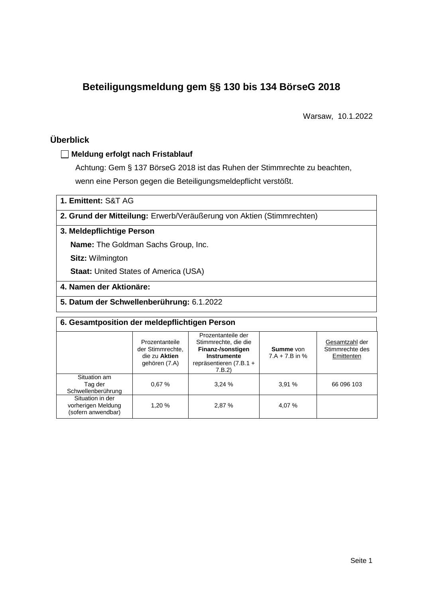# **Beteiligungsmeldung gem §§ 130 bis 134 BörseG 2018**

Warsaw, 10.1.2022

## **Überblick**

#### **Meldung erfolgt nach Fristablauf**

Achtung: Gem § 137 BörseG 2018 ist das Ruhen der Stimmrechte zu beachten, wenn eine Person gegen die Beteiligungsmeldepflicht verstößt.

**1. Emittent:** S&T AG

**2. Grund der Mitteilung:** Erwerb/Veräußerung von Aktien (Stimmrechten)

#### **3. Meldepflichtige Person**

**Name:** The Goldman Sachs Group, Inc.

**Sitz:** Wilmington

**Staat: United States of America (USA)** 

- **4. Namen der Aktionäre:**
- **5. Datum der Schwellenberührung:** 6.1.2022

| 6. Gesamtposition der meldepflichtigen Person                |                                                                                                                                                                                            |        |                                      |                                                 |  |  |  |
|--------------------------------------------------------------|--------------------------------------------------------------------------------------------------------------------------------------------------------------------------------------------|--------|--------------------------------------|-------------------------------------------------|--|--|--|
|                                                              | Prozentanteile der<br>Stimmrechte, die die<br>Prozentanteile<br>der Stimmrechte,<br>Finanz-/sonstigen<br>Instrumente<br>die zu Aktien<br>repräsentieren (7.B.1 +<br>gehören (7.A)<br>7.B.2 |        | <b>Summe</b> von<br>$7.A + 7.B$ in % | Gesamtzahl der<br>Stimmrechte des<br>Emittenten |  |  |  |
| Situation am<br>Tag der<br>Schwellenberührung                | 0.67%                                                                                                                                                                                      | 3.24%  | 3.91%                                | 66 096 103                                      |  |  |  |
| Situation in der<br>vorherigen Meldung<br>(sofern anwendbar) | 1.20 %                                                                                                                                                                                     | 2.87 % | 4,07 %                               |                                                 |  |  |  |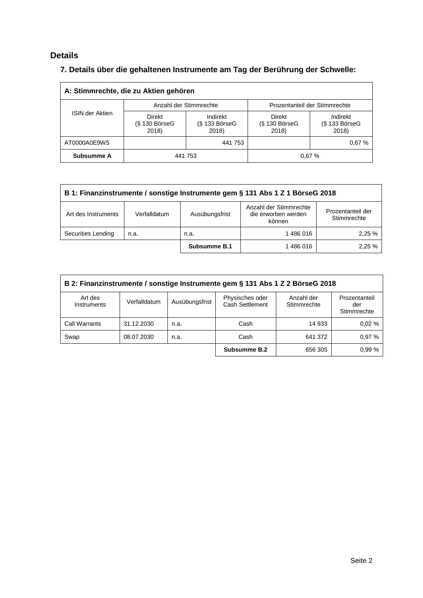## **Details**

## **7. Details über die gehaltenen Instrumente am Tag der Berührung der Schwelle:**

| A: Stimmrechte, die zu Aktien gehören                               |  |                                      |                                           |                                    |  |  |
|---------------------------------------------------------------------|--|--------------------------------------|-------------------------------------------|------------------------------------|--|--|
|                                                                     |  | Anzahl der Stimmrechte               | Prozentanteil der Stimmrechte             |                                    |  |  |
| <b>ISIN der Aktien</b><br><b>Direkt</b><br>$(S$ 130 BörseG<br>2018) |  | Indirekt<br>$(S$ 133 BörseG<br>2018) | <b>Direkt</b><br>$(S$ 130 BörseG<br>2018) | Indirekt<br>(§ 133 BörseG<br>2018) |  |  |
| AT0000A0E9W5                                                        |  | 441 753                              |                                           | 0.67%                              |  |  |
| Subsumme A                                                          |  | 441 753                              |                                           | 0.67%                              |  |  |

| B 1: Finanzinstrumente / sonstige Instrumente gem § 131 Abs 1 Z 1 BörseG 2018 |                                                                                                                               |              |         |       |  |  |
|-------------------------------------------------------------------------------|-------------------------------------------------------------------------------------------------------------------------------|--------------|---------|-------|--|--|
| Art des Instruments                                                           | Anzahl der Stimmrechte<br>Prozentanteil der<br>die erworben werden<br>Ausübungsfrist<br>Verfalldatum<br>Stimmrechte<br>können |              |         |       |  |  |
| Securities Lending                                                            | n.a.                                                                                                                          | n.a.         | 1486016 | 2.25% |  |  |
|                                                                               |                                                                                                                               | Subsumme B.1 | 1486016 | 2.25% |  |  |

| B 2: Finanzinstrumente / sonstige Instrumente gem § 131 Abs 1 Z 2 BörseG 2018 |              |                |                                    |                           |                                     |  |
|-------------------------------------------------------------------------------|--------------|----------------|------------------------------------|---------------------------|-------------------------------------|--|
| Art des<br>Instruments                                                        | Verfalldatum | Ausübungsfrist | Physisches oder<br>Cash Settlement | Anzahl der<br>Stimmrechte | Prozentanteil<br>der<br>Stimmrechte |  |
| Call Warrants                                                                 | 31.12.2030   | n.a.           | Cash                               | 14 933                    | 0.02%                               |  |
| Swap                                                                          | 08.07.2030   | n.a.           | Cash                               | 641 372                   | 0.97%                               |  |
|                                                                               |              |                | Subsumme B.2                       | 656 305                   | 0.99%                               |  |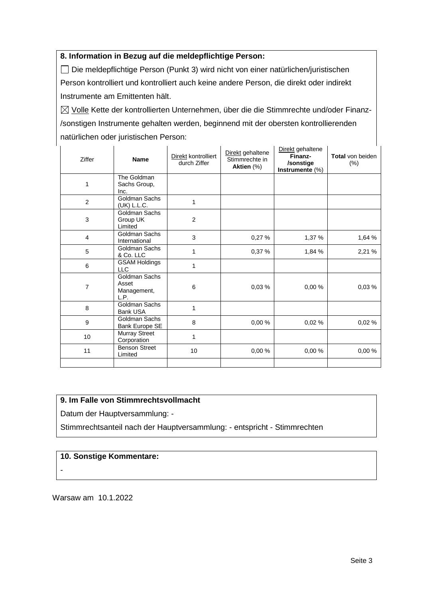#### **8. Information in Bezug auf die meldepflichtige Person:**

Die meldepflichtige Person (Punkt 3) wird nicht von einer natürlichen/juristischen Person kontrolliert und kontrolliert auch keine andere Person, die direkt oder indirekt Instrumente am Emittenten hält.

 $\boxtimes$  Volle Kette der kontrollierten Unternehmen, über die die Stimmrechte und/oder Finanz-/sonstigen Instrumente gehalten werden, beginnend mit der obersten kontrollierenden natürlichen oder juristischen Person:

| Ziffer                  | <b>Name</b>                                   | Direkt kontrolliert<br>durch Ziffer | Direkt gehaltene<br>Stimmrechte in<br>Aktien (%) | Direkt gehaltene<br>Finanz-<br>/sonstige<br>Instrumente (%) | Total von beiden<br>$(\% )$ |
|-------------------------|-----------------------------------------------|-------------------------------------|--------------------------------------------------|-------------------------------------------------------------|-----------------------------|
| $\mathbf{1}$            | The Goldman<br>Sachs Group,<br>Inc.           |                                     |                                                  |                                                             |                             |
| $\overline{2}$          | Goldman Sachs<br>(UK) L.L.C.                  | 1                                   |                                                  |                                                             |                             |
| 3                       | Goldman Sachs<br>Group UK<br>Limited          | $\overline{2}$                      |                                                  |                                                             |                             |
| $\overline{\mathbf{4}}$ | Goldman Sachs<br>International                | 3                                   | 0,27%                                            | 1,37 %                                                      | 1,64 %                      |
| 5                       | Goldman Sachs<br>& Co. LLC                    | 1                                   | 0,37 %                                           | 1,84 %                                                      | 2,21 %                      |
| 6                       | <b>GSAM Holdings</b><br><b>LLC</b>            | 1                                   |                                                  |                                                             |                             |
| $\overline{7}$          | Goldman Sachs<br>Asset<br>Management,<br>L.P. | 6                                   | 0,03%                                            | 0.00%                                                       | 0,03%                       |
| 8                       | Goldman Sachs<br><b>Bank USA</b>              | 1                                   |                                                  |                                                             |                             |
| 9                       | Goldman Sachs<br>Bank Europe SE               | 8                                   | 0,00%                                            | 0,02%                                                       | 0,02%                       |
| 10                      | <b>Murray Street</b><br>Corporation           | 1                                   |                                                  |                                                             |                             |
| 11                      | <b>Benson Street</b><br>Limited               | 10                                  | 0,00%                                            | 0,00%                                                       | 0,00%                       |
|                         |                                               |                                     |                                                  |                                                             |                             |

#### **9. Im Falle von Stimmrechtsvollmacht**

Datum der Hauptversammlung: -

Stimmrechtsanteil nach der Hauptversammlung: - entspricht - Stimmrechten

#### **10. Sonstige Kommentare:**

-

Warsaw am 10.1.2022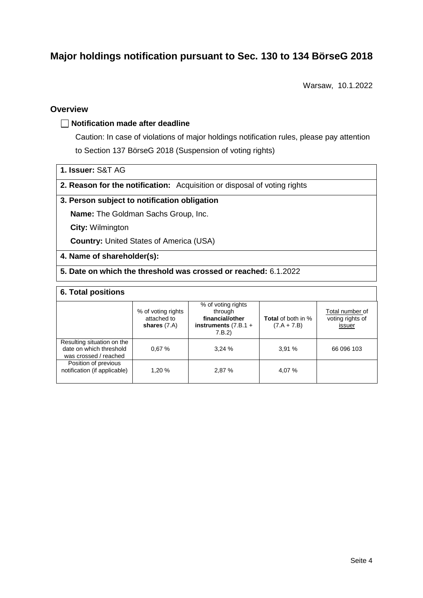# **Major holdings notification pursuant to Sec. 130 to 134 BörseG 2018**

Warsaw, 10.1.2022

#### **Overview**

#### **Notification made after deadline**

Caution: In case of violations of major holdings notification rules, please pay attention to Section 137 BörseG 2018 (Suspension of voting rights)

**1. Issuer:** S&T AG

**2. Reason for the notification:** Acquisition or disposal of voting rights

#### **3. Person subject to notification obligation**

**Name:** The Goldman Sachs Group, Inc.

**City:** Wilmington

**Country:** United States of America (USA)

#### **4. Name of shareholder(s):**

#### **5. Date on which the threshold was crossed or reached:** 6.1.2022

#### **6. Total positions**

|                                                                                | % of voting rights<br>attached to<br>shares $(7.A)$ | % of voting rights<br>through<br>financial/other<br>instruments $(7.B.1 +$<br>7.B.2 | <b>Total</b> of both in %<br>$(7.A + 7.B)$ | Total number of<br>voting rights of<br>issuer |
|--------------------------------------------------------------------------------|-----------------------------------------------------|-------------------------------------------------------------------------------------|--------------------------------------------|-----------------------------------------------|
| Resulting situation on the<br>date on which threshold<br>was crossed / reached | 0.67%                                               | 3.24%                                                                               | 3.91%                                      | 66 096 103                                    |
| Position of previous<br>notification (if applicable)                           | 1,20 %                                              | 2,87 %                                                                              | 4,07 %                                     |                                               |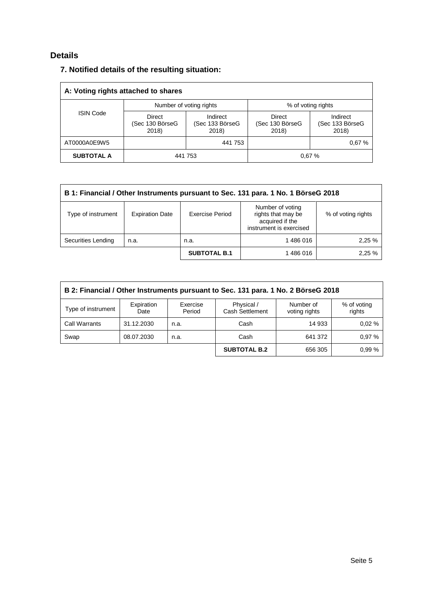## **Details**

| 7. Notified details of the resulting situation: |  |
|-------------------------------------------------|--|
|-------------------------------------------------|--|

| A: Voting rights attached to shares |                                    |                                      |                                    |                                      |  |  |
|-------------------------------------|------------------------------------|--------------------------------------|------------------------------------|--------------------------------------|--|--|
|                                     |                                    | Number of voting rights              | % of voting rights                 |                                      |  |  |
| <b>ISIN Code</b>                    | Direct<br>(Sec 130 BörseG<br>2018) | Indirect<br>(Sec 133 BörseG<br>2018) | Direct<br>(Sec 130 BörseG<br>2018) | Indirect<br>(Sec 133 BörseG<br>2018) |  |  |
| AT0000A0E9W5                        |                                    | 441 753                              |                                    | 0.67%                                |  |  |
| <b>SUBTOTAL A</b>                   |                                    | 441 753                              |                                    | 0.67%                                |  |  |

| B 1: Financial / Other Instruments pursuant to Sec. 131 para. 1 No. 1 BörseG 2018 |                        |                        |                                                                                      |                    |  |
|-----------------------------------------------------------------------------------|------------------------|------------------------|--------------------------------------------------------------------------------------|--------------------|--|
| Type of instrument                                                                | <b>Expiration Date</b> | <b>Exercise Period</b> | Number of voting<br>rights that may be<br>acquired if the<br>instrument is exercised | % of voting rights |  |
| Securities Lending                                                                | n.a.                   | n.a.                   | 1486016                                                                              | 2,25 %             |  |
|                                                                                   |                        | <b>SUBTOTAL B.1</b>    | 1486016                                                                              | 2,25%              |  |

| B 2: Financial / Other Instruments pursuant to Sec. 131 para. 1 No. 2 BörseG 2018                                                                             |            |      |                     |         |       |  |  |
|---------------------------------------------------------------------------------------------------------------------------------------------------------------|------------|------|---------------------|---------|-------|--|--|
| Physical /<br>Expiration<br>Number of<br>Exercise<br>% of voting<br>Type of instrument<br><b>Cash Settlement</b><br>Period<br>rights<br>voting rights<br>Date |            |      |                     |         |       |  |  |
| <b>Call Warrants</b>                                                                                                                                          | 31.12.2030 | n.a. | Cash                | 14 933  | 0.02% |  |  |
| Swap                                                                                                                                                          | 08.07.2030 | n.a. | Cash                | 641 372 | 0.97% |  |  |
|                                                                                                                                                               |            |      | <b>SUBTOTAL B.2</b> | 656 305 | 0.99% |  |  |